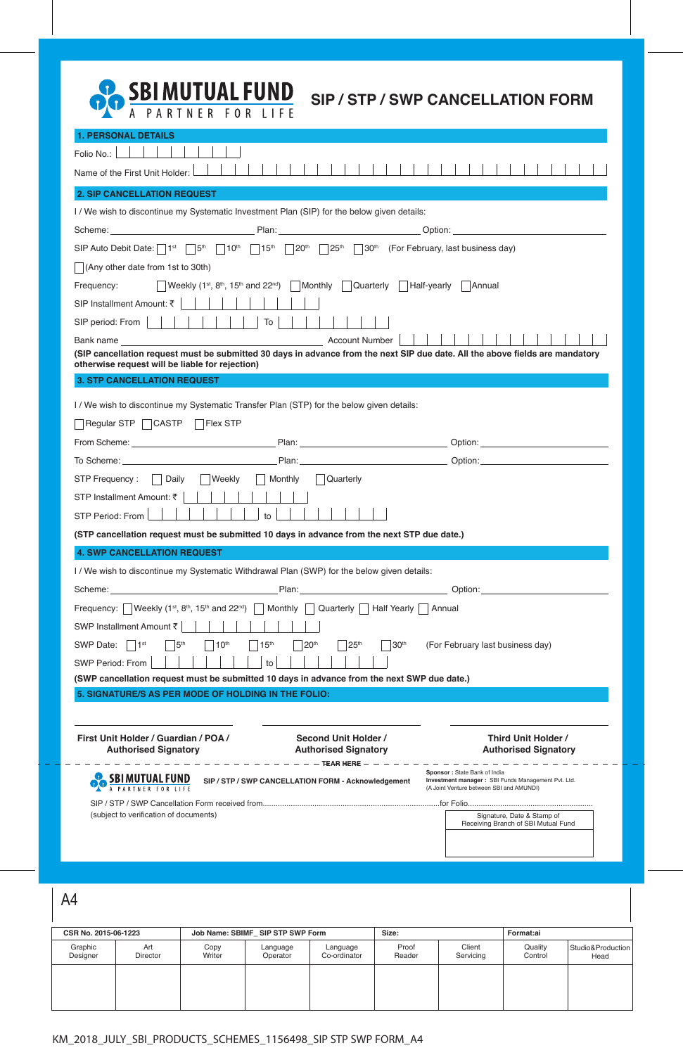

| <b>1. PERSONAL DETAILS</b>                                                                                                                                                       |                                                          |                                                                                                                                                                                                                                |
|----------------------------------------------------------------------------------------------------------------------------------------------------------------------------------|----------------------------------------------------------|--------------------------------------------------------------------------------------------------------------------------------------------------------------------------------------------------------------------------------|
| Folio No.:                                                                                                                                                                       |                                                          |                                                                                                                                                                                                                                |
| Name of the First Unit Holder:                                                                                                                                                   |                                                          |                                                                                                                                                                                                                                |
| <b>2. SIP CANCELLATION REQUEST</b>                                                                                                                                               |                                                          |                                                                                                                                                                                                                                |
| I / We wish to discontinue my Systematic Investment Plan (SIP) for the below given details:                                                                                      |                                                          |                                                                                                                                                                                                                                |
|                                                                                                                                                                                  |                                                          |                                                                                                                                                                                                                                |
| SIP Auto Debit Date: $\lceil 1^{st} \rceil 5^{th} \rceil 10^{th} \rceil 15^{th} \rceil 20^{th} \rceil 25^{th} \rceil 30^{th}$ (For February, last business day)                  |                                                          |                                                                                                                                                                                                                                |
| $\vert$ (Any other date from 1st to 30th)                                                                                                                                        |                                                          |                                                                                                                                                                                                                                |
| Weekly $(1^{st}, 8^{th}, 15^{th}$ and $22^{nd})$ Monthly<br>Frequency:                                                                                                           | Quarterly   Half-yearly                                  | Annual                                                                                                                                                                                                                         |
| SIP Installment Amount: ₹                                                                                                                                                        |                                                          |                                                                                                                                                                                                                                |
| SIP period: From  <br>$\overline{10}$                                                                                                                                            |                                                          |                                                                                                                                                                                                                                |
|                                                                                                                                                                                  |                                                          |                                                                                                                                                                                                                                |
| (SIP cancellation request must be submitted 30 days in advance from the next SIP due date. All the above fields are mandatory<br>otherwise request will be liable for rejection) |                                                          |                                                                                                                                                                                                                                |
| <b>3. STP CANCELLATION REQUEST</b>                                                                                                                                               |                                                          |                                                                                                                                                                                                                                |
| I / We wish to discontinue my Systematic Transfer Plan (STP) for the below given details:                                                                                        |                                                          |                                                                                                                                                                                                                                |
| $\vert$ Regular STP $\vert \Box$ CASTP<br>∣ IFlex STP                                                                                                                            |                                                          |                                                                                                                                                                                                                                |
| From Scheme: North American Contract Contract Development Plan:                                                                                                                  |                                                          | Option: <u>with the contract of the contract of</u>                                                                                                                                                                            |
|                                                                                                                                                                                  |                                                          |                                                                                                                                                                                                                                |
| STP Frequency :   Daily<br>  Weekly<br>  Monthly                                                                                                                                 | Quarterly                                                |                                                                                                                                                                                                                                |
| STP Installment Amount: ₹                                                                                                                                                        |                                                          |                                                                                                                                                                                                                                |
| STP Period: From<br>to                                                                                                                                                           |                                                          |                                                                                                                                                                                                                                |
| (STP cancellation request must be submitted 10 days in advance from the next STP due date.)                                                                                      |                                                          |                                                                                                                                                                                                                                |
| <b>4. SWP CANCELLATION REQUEST</b>                                                                                                                                               |                                                          |                                                                                                                                                                                                                                |
| I / We wish to discontinue my Systematic Withdrawal Plan (SWP) for the below given details:                                                                                      |                                                          |                                                                                                                                                                                                                                |
|                                                                                                                                                                                  |                                                          | Option: and the contract of the contract of the contract of the contract of the contract of the contract of the contract of the contract of the contract of the contract of the contract of the contract of the contract of th |
| Frequency: Weekly (1 <sup>st</sup> , 8 <sup>th</sup> , 15 <sup>th</sup> and 22 <sup>nd</sup> ) Monthly Quarterly Half Yearly                                                     |                                                          | Annual                                                                                                                                                                                                                         |
| SWP Installment Amount ₹                                                                                                                                                         |                                                          |                                                                                                                                                                                                                                |
| 5 <sup>th</sup><br>15 <sup>th</sup><br>$ 1^{\rm st}$<br>10 <sup>th</sup><br>SWP Date: $ $                                                                                        | 20 <sup>th</sup><br>25 <sup>th</sup><br>30 <sup>th</sup> | (For February last business day)                                                                                                                                                                                               |
| SWP Period: From<br>to                                                                                                                                                           |                                                          |                                                                                                                                                                                                                                |
| (SWP cancellation request must be submitted 10 days in advance from the next SWP due date.)                                                                                      |                                                          |                                                                                                                                                                                                                                |
| 5. SIGNATURE/S AS PER MODE OF HOLDING IN THE FOLIO:                                                                                                                              |                                                          |                                                                                                                                                                                                                                |
|                                                                                                                                                                                  |                                                          |                                                                                                                                                                                                                                |
| First Unit Holder / Guardian / POA /                                                                                                                                             | Second Unit Holder /                                     | Third Unit Holder /                                                                                                                                                                                                            |
| <b>Authorised Signatory</b>                                                                                                                                                      | <b>Authorised Signatory</b>                              | <b>Authorised Signatory</b>                                                                                                                                                                                                    |
| ------------                                                                                                                                                                     | $- - - -$ TEAR HERE $- - - - -$                          | Sponsor: State Bank of India                                                                                                                                                                                                   |
| SIP / STP / SWP CANCELLATION FORM - Acknowledgement                                                                                                                              |                                                          | Investment manager : SBI Funds Management Pvt. Ltd.<br>(A Joint Venture between SBI and AMUNDI)                                                                                                                                |
|                                                                                                                                                                                  |                                                          |                                                                                                                                                                                                                                |
| (subject to verification of documents)                                                                                                                                           |                                                          | Signature, Date & Stamp of<br>Receiving Branch of SBI Mutual Fund                                                                                                                                                              |
|                                                                                                                                                                                  |                                                          |                                                                                                                                                                                                                                |
|                                                                                                                                                                                  |                                                          |                                                                                                                                                                                                                                |